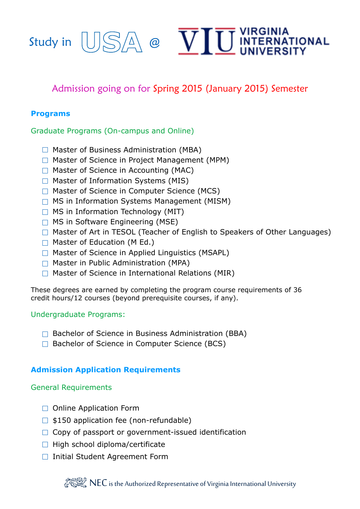



# Admission going on for Spring 2015 (January 2015) Semester

### **Programs**

#### Graduate Programs (On-campus and Online)

- $\Box$  Master of Business Administration (MBA)
- □ Master of Science in Project Management (MPM)
- $\Box$  Master of Science in Accounting (MAC)
- $\Box$  Master of Information Systems (MIS)
- $\Box$  Master of Science in Computer Science (MCS)
- $\Box$  MS in Information Systems Management (MISM)
- $\Box$  MS in Information Technology (MIT)
- $\Box$  MS in Software Engineering (MSE)
- □ Master of Art in TESOL (Teacher of English to Speakers of Other Languages)
- $\Box$  Master of Education (M Ed.)
- $\Box$  Master of Science in Applied Linguistics (MSAPL)
- $\Box$  Master in Public Administration (MPA)
- $\Box$  Master of Science in International Relations (MIR)

These degrees are earned by completing the program course requirements of 36 credit hours/12 courses (beyond prerequisite courses, if any).

#### Undergraduate Programs:

- $\Box$  Bachelor of Science in Business Administration (BBA)
- □ Bachelor of Science in Computer Science (BCS)

# **Admission Application Requirements**

#### General Requirements

- □ Online Application Form
- $\Box$  \$150 application fee (non-refundable)
- $\Box$  Copy of passport or government-issued identification
- $\Box$  High school diploma/certificate
- □ Initial Student Agreement Form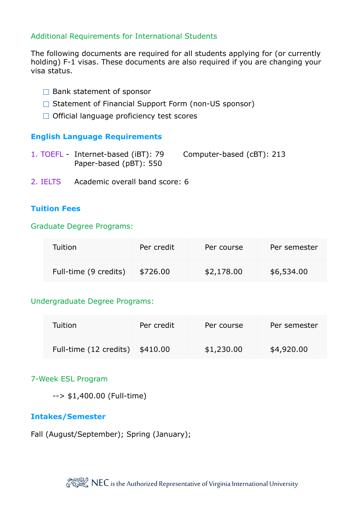### Additional Requirements for International Students

The following documents are required for all students applying for (or currently holding) F-1 visas. These documents are also required if you are changing your visa status.

- $\Box$  Bank statement of sponsor
- $\Box$  Statement of Financial Support Form (non-US sponsor)
- $\Box$  Official language proficiency test scores

#### **English Language Requirements**

- 1. TOEFL Internet-based (iBT): 79 Computer-based (cBT): 213 Paper-based (pBT): 550
- 2. IELTS Academic overall band score: 6

### **Tuition Fees**

#### Graduate Degree Programs:

| Tuition               | Per credit | Per course | Per semester |
|-----------------------|------------|------------|--------------|
| Full-time (9 credits) | \$726.00   | \$2,178.00 | \$6,534.00   |

#### Undergraduate Degree Programs:

| Tuition                | Per credit | Per course | Per semester |
|------------------------|------------|------------|--------------|
| Full-time (12 credits) | \$410.00   | \$1,230.00 | \$4,920.00   |

#### 7-Week ESL Program

--> \$1,400.00 (Full-time)

#### **Intakes/Semester**

Fall (August/September); Spring (January);